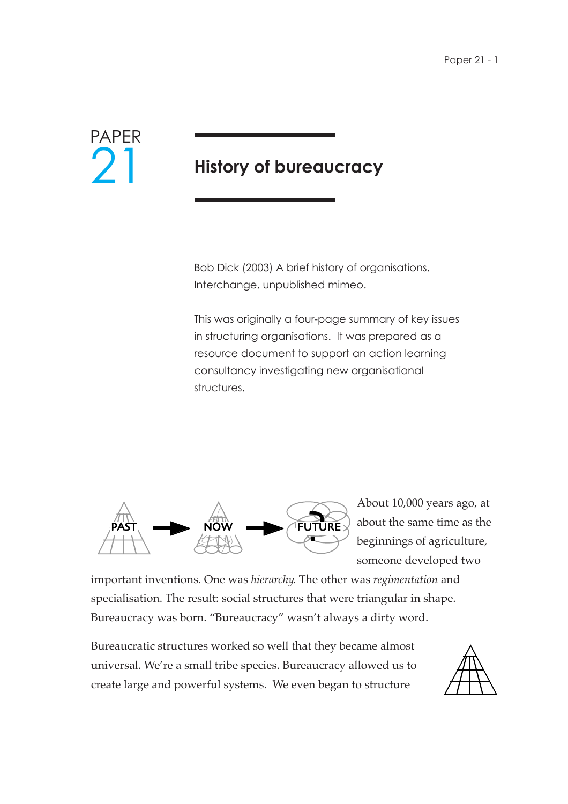

## **History of bureaucracy**

Bob Dick (2003) A brief history of organisations. Interchange, unpublished mimeo.

This was originally a four-page summary of key issues in structuring organisations. It was prepared as a resource document to support an action learning consultancy investigating new organisational structures.



About 10,000 years ago, at about the same time as the beginnings of agriculture, someone developed two

important inventions. One was *hierarchy*. The other was *regimentation* and specialisation. The result: social structures that were triangular in shape. Bureaucracy was born. "Bureaucracy" wasn't always a dirty word.

Bureaucratic structures worked so well that they became almost universal. We're a small tribe species. Bureaucracy allowed us to create large and powerful systems. We even began to structure

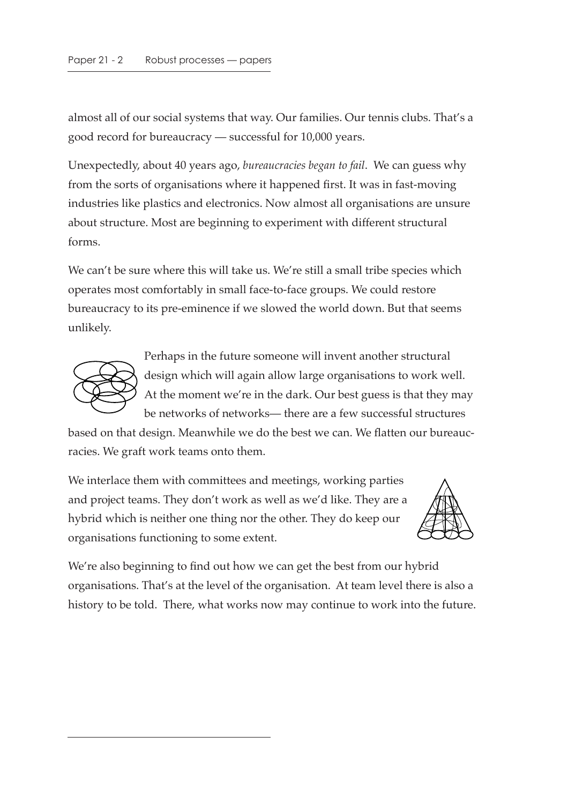almost all of our social systems that way. Our families. Our tennis clubs. That's a good record for bureaucracy — successful for 10,000 years.

Unexpectedly, about 40 years ago, *bureaucracies began to fail*. We can guess why from the sorts of organisations where it happened first. It was in fast-moving industries like plastics and electronics. Now almost all organisations are unsure about structure. Most are beginning to experiment with different structural forms.

We can't be sure where this will take us. We're still a small tribe species which operates most comfortably in small face-to-face groups. We could restore bureaucracy to its pre-eminence if we slowed the world down. But that seems unlikely.



Perhaps in the future someone will invent another structural design which will again allow large organisations to work well. At the moment we're in the dark. Our best guess is that they may be networks of networks— there are a few successful structures

based on that design. Meanwhile we do the best we can. We flatten our bureaucracies. We graft work teams onto them.

We interlace them with committees and meetings, working parties and project teams. They don't work as well as we'd like. They are a hybrid which is neither one thing nor the other. They do keep our organisations functioning to some extent.



We're also beginning to find out how we can get the best from our hybrid organisations. That's at the level of the organisation. At team level there is also a history to be told. There, what works now may continue to work into the future.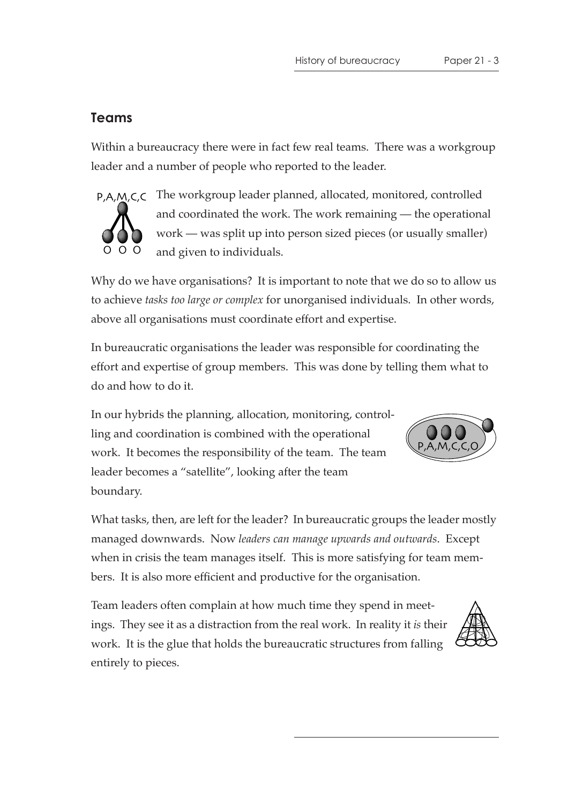## **Teams**

Within a bureaucracy there were in fact few real teams. There was a workgroup leader and a number of people who reported to the leader.



P,A,M,C,C The workgroup leader planned, allocated, monitored, controlled and coordinated the work. The work remaining — the operational work — was split up into person sized pieces (or usually smaller) and given to individuals.

Why do we have organisations? It is important to note that we do so to allow us to achieve *tasks too large or complex* for unorganised individuals. In other words, above all organisations must coordinate effort and expertise.

In bureaucratic organisations the leader was responsible for coordinating the effort and expertise of group members. This was done by telling them what to do and how to do it.

In our hybrids the planning, allocation, monitoring, controlling and coordination is combined with the operational work. It becomes the responsibility of the team. The team leader becomes a "satellite", looking after the team boundary.



What tasks, then, are left for the leader? In bureaucratic groups the leader mostly managed downwards. Now *leaders can manage upwards and outwards*. Except when in crisis the team manages itself. This is more satisfying for team members. It is also more efficient and productive for the organisation.

Team leaders often complain at how much time they spend in meetings. They see it as a distraction from the real work. In reality it *is* their work. It is the glue that holds the bureaucratic structures from falling entirely to pieces.

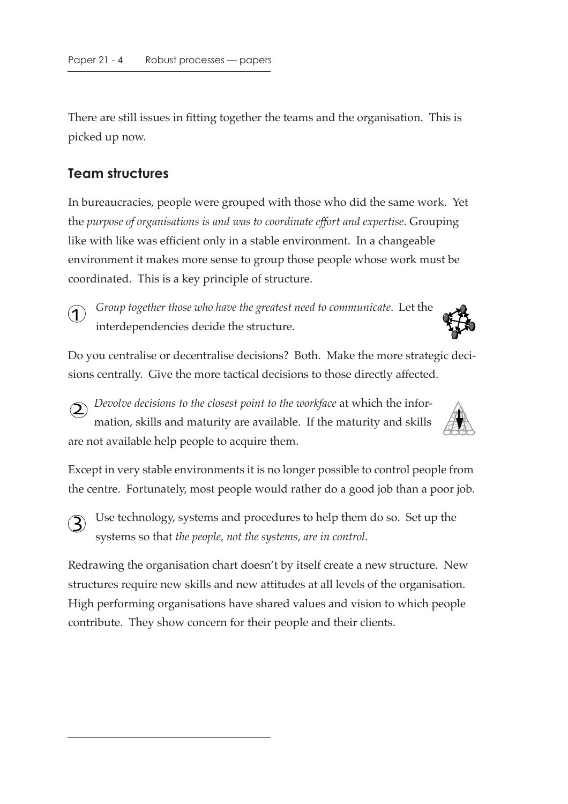There are still issues in fitting together the teams and the organisation. This is picked up now.

## **Team structures**

In bureaucracies, people were grouped with those who did the same work. Yet the *purpose of organisations is and was to coordinate effort and expertise*. Grouping like with like was efficient only in a stable environment. In a changeable environment it makes more sense to group those people whose work must be coordinated. This is a key principle of structure.



 $(3)$ 

*Group together those who have the greatest need to communicate*. Let the interdependencies decide the structure.



Do you centralise or decentralise decisions? Both. Make the more strategic decisions centrally. Give the more tactical decisions to those directly affected.

*Devolve decisions to the closest point to the workface* at which the information, skills and maturity are available. If the maturity and skills are not available help people to acquire them.  $\overline{\mathsf{2}}$ 

Except in very stable environments it is no longer possible to control people from the centre. Fortunately, most people would rather do a good job than a poor job.

Use technology, systems and procedures to help them do so. Set up the systems so that *the people, not the systems, are in control*.

Redrawing the organisation chart doesn't by itself create a new structure. New structures require new skills and new attitudes at all levels of the organisation. High performing organisations have shared values and vision to which people contribute. They show concern for their people and their clients.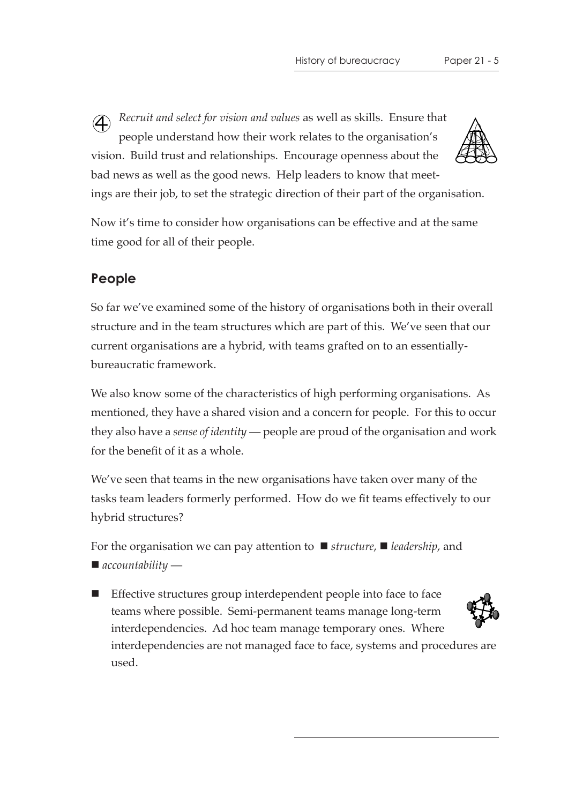*Recruit and select for vision and values* as well as skills. Ensure that people understand how their work relates to the organisation's vision. Build trust and relationships. Encourage openness about the bad news as well as the good news. Help leaders to know that meetings are their job, to set the strategic direction of their part of the organisation. 4

Now it's time to consider how organisations can be effective and at the same time good for all of their people.

## **People**

So far we've examined some of the history of organisations both in their overall structure and in the team structures which are part of this. We've seen that our current organisations are a hybrid, with teams grafted on to an essentiallybureaucratic framework.

We also know some of the characteristics of high performing organisations. As mentioned, they have a shared vision and a concern for people. For this to occur they also have a *sense of identity* — people are proud of the organisation and work for the benefit of it as a whole.

We've seen that teams in the new organisations have taken over many of the tasks team leaders formerly performed. How do we fit teams effectively to our hybrid structures?

For the organisation we can pay attention to  $\blacksquare$  structure,  $\blacksquare$  leadership, and *accountability* —

■ Effective structures group interdependent people into face to face teams where possible. Semi-permanent teams manage long-term interdependencies. Ad hoc team manage temporary ones. Where interdependencies are not managed face to face, systems and procedures are

used.